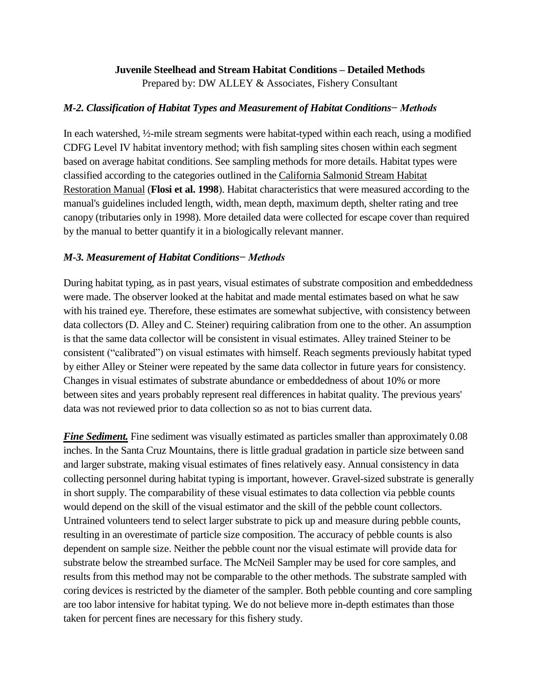# **Juvenile Steelhead and Stream Habitat Conditions – Detailed Methods**

Prepared by: DW ALLEY & Associates, Fishery Consultant

# *M-2. Classification of Habitat Types and Measurement of Habitat Conditions− Methods*

In each watershed, ½-mile stream segments were habitat-typed within each reach, using a modified CDFG Level IV habitat inventory method; with fish sampling sites chosen within each segment based on average habitat conditions. See sampling methods for more details. Habitat types were classified according to the categories outlined in the California Salmonid Stream Habitat Restoration Manual (**Flosi et al. 1998**). Habitat characteristics that were measured according to the manual's guidelines included length, width, mean depth, maximum depth, shelter rating and tree canopy (tributaries only in 1998). More detailed data were collected for escape cover than required by the manual to better quantify it in a biologically relevant manner.

# *M-3. Measurement of Habitat Conditions− Methods*

During habitat typing, as in past years, visual estimates of substrate composition and embeddedness were made. The observer looked at the habitat and made mental estimates based on what he saw with his trained eye. Therefore, these estimates are somewhat subjective, with consistency between data collectors (D. Alley and C. Steiner) requiring calibration from one to the other. An assumption is that the same data collector will be consistent in visual estimates. Alley trained Steiner to be consistent ("calibrated") on visual estimates with himself. Reach segments previously habitat typed by either Alley or Steiner were repeated by the same data collector in future years for consistency. Changes in visual estimates of substrate abundance or embeddedness of about 10% or more between sites and years probably represent real differences in habitat quality. The previous years' data was not reviewed prior to data collection so as not to bias current data.

**Fine Sediment.** Fine sediment was visually estimated as particles smaller than approximately 0.08 inches. In the Santa Cruz Mountains, there is little gradual gradation in particle size between sand and larger substrate, making visual estimates of fines relatively easy. Annual consistency in data collecting personnel during habitat typing is important, however. Gravel-sized substrate is generally in short supply. The comparability of these visual estimates to data collection via pebble counts would depend on the skill of the visual estimator and the skill of the pebble count collectors. Untrained volunteers tend to select larger substrate to pick up and measure during pebble counts, resulting in an overestimate of particle size composition. The accuracy of pebble counts is also dependent on sample size. Neither the pebble count nor the visual estimate will provide data for substrate below the streambed surface. The McNeil Sampler may be used for core samples, and results from this method may not be comparable to the other methods. The substrate sampled with coring devices is restricted by the diameter of the sampler. Both pebble counting and core sampling are too labor intensive for habitat typing. We do not believe more in-depth estimates than those taken for percent fines are necessary for this fishery study.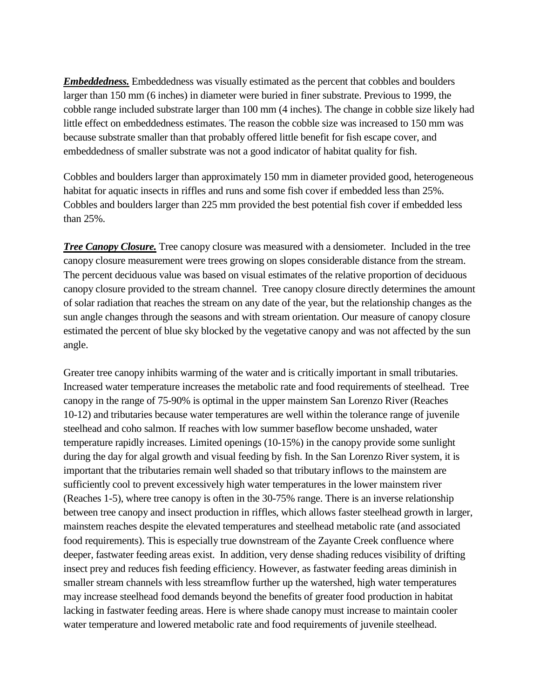*Embeddedness.* Embeddedness was visually estimated as the percent that cobbles and boulders larger than 150 mm (6 inches) in diameter were buried in finer substrate. Previous to 1999, the cobble range included substrate larger than 100 mm (4 inches). The change in cobble size likely had little effect on embeddedness estimates. The reason the cobble size was increased to 150 mm was because substrate smaller than that probably offered little benefit for fish escape cover, and embeddedness of smaller substrate was not a good indicator of habitat quality for fish.

Cobbles and boulders larger than approximately 150 mm in diameter provided good, heterogeneous habitat for aquatic insects in riffles and runs and some fish cover if embedded less than 25%. Cobbles and boulders larger than 225 mm provided the best potential fish cover if embedded less than 25%.

*Tree Canopy Closure.* Tree canopy closure was measured with a densiometer. Included in the tree canopy closure measurement were trees growing on slopes considerable distance from the stream. The percent deciduous value was based on visual estimates of the relative proportion of deciduous canopy closure provided to the stream channel. Tree canopy closure directly determines the amount of solar radiation that reaches the stream on any date of the year, but the relationship changes as the sun angle changes through the seasons and with stream orientation. Our measure of canopy closure estimated the percent of blue sky blocked by the vegetative canopy and was not affected by the sun angle.

Greater tree canopy inhibits warming of the water and is critically important in small tributaries. Increased water temperature increases the metabolic rate and food requirements of steelhead. Tree canopy in the range of 75-90% is optimal in the upper mainstem San Lorenzo River (Reaches 10-12) and tributaries because water temperatures are well within the tolerance range of juvenile steelhead and coho salmon. If reaches with low summer baseflow become unshaded, water temperature rapidly increases. Limited openings (10-15%) in the canopy provide some sunlight during the day for algal growth and visual feeding by fish. In the San Lorenzo River system, it is important that the tributaries remain well shaded so that tributary inflows to the mainstem are sufficiently cool to prevent excessively high water temperatures in the lower mainstem river (Reaches 1-5), where tree canopy is often in the 30-75% range. There is an inverse relationship between tree canopy and insect production in riffles, which allows faster steelhead growth in larger, mainstem reaches despite the elevated temperatures and steelhead metabolic rate (and associated food requirements). This is especially true downstream of the Zayante Creek confluence where deeper, fastwater feeding areas exist. In addition, very dense shading reduces visibility of drifting insect prey and reduces fish feeding efficiency. However, as fastwater feeding areas diminish in smaller stream channels with less streamflow further up the watershed, high water temperatures may increase steelhead food demands beyond the benefits of greater food production in habitat lacking in fastwater feeding areas. Here is where shade canopy must increase to maintain cooler water temperature and lowered metabolic rate and food requirements of juvenile steelhead.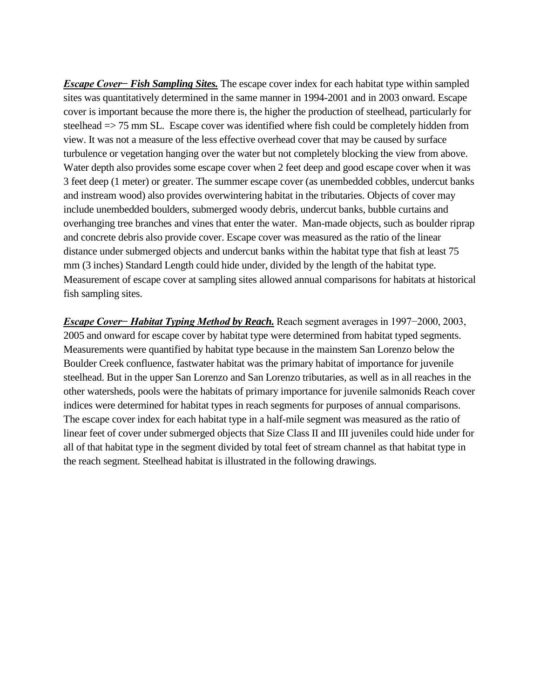*Escape Cover− Fish Sampling Sites.* The escape cover index for each habitat type within sampled sites was quantitatively determined in the same manner in 1994-2001 and in 2003 onward. Escape cover is important because the more there is, the higher the production of steelhead, particularly for steelhead => 75 mm SL. Escape cover was identified where fish could be completely hidden from view. It was not a measure of the less effective overhead cover that may be caused by surface turbulence or vegetation hanging over the water but not completely blocking the view from above. Water depth also provides some escape cover when 2 feet deep and good escape cover when it was 3 feet deep (1 meter) or greater. The summer escape cover (as unembedded cobbles, undercut banks and instream wood) also provides overwintering habitat in the tributaries. Objects of cover may include unembedded boulders, submerged woody debris, undercut banks, bubble curtains and overhanging tree branches and vines that enter the water. Man-made objects, such as boulder riprap and concrete debris also provide cover. Escape cover was measured as the ratio of the linear distance under submerged objects and undercut banks within the habitat type that fish at least 75 mm (3 inches) Standard Length could hide under, divided by the length of the habitat type. Measurement of escape cover at sampling sites allowed annual comparisons for habitats at historical fish sampling sites.

*Escape Cover− Habitat Typing Method by Reach.* Reach segment averages in 1997−2000, 2003, 2005 and onward for escape cover by habitat type were determined from habitat typed segments. Measurements were quantified by habitat type because in the mainstem San Lorenzo below the Boulder Creek confluence, fastwater habitat was the primary habitat of importance for juvenile steelhead. But in the upper San Lorenzo and San Lorenzo tributaries, as well as in all reaches in the other watersheds, pools were the habitats of primary importance for juvenile salmonids Reach cover indices were determined for habitat types in reach segments for purposes of annual comparisons. The escape cover index for each habitat type in a half-mile segment was measured as the ratio of linear feet of cover under submerged objects that Size Class II and III juveniles could hide under for all of that habitat type in the segment divided by total feet of stream channel as that habitat type in the reach segment. Steelhead habitat is illustrated in the following drawings.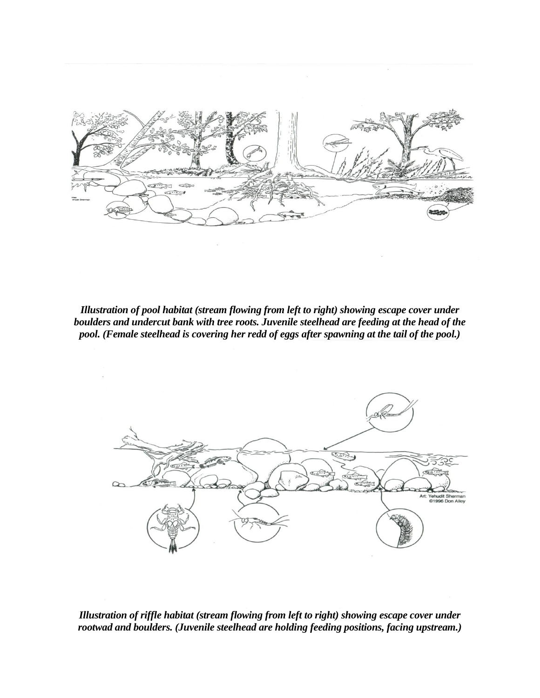*Illustration of pool habitat (stream flowing from left to right) showing escape cover under boulders and undercut bank with tree roots. Juvenile steelhead are feeding at the head of the pool. (Female steelhead is covering her redd of eggs after spawning at the tail of the pool.)*



*Illustration of riffle habitat (stream flowing from left to right) showing escape cover under rootwad and boulders. (Juvenile steelhead are holding feeding positions, facing upstream.)*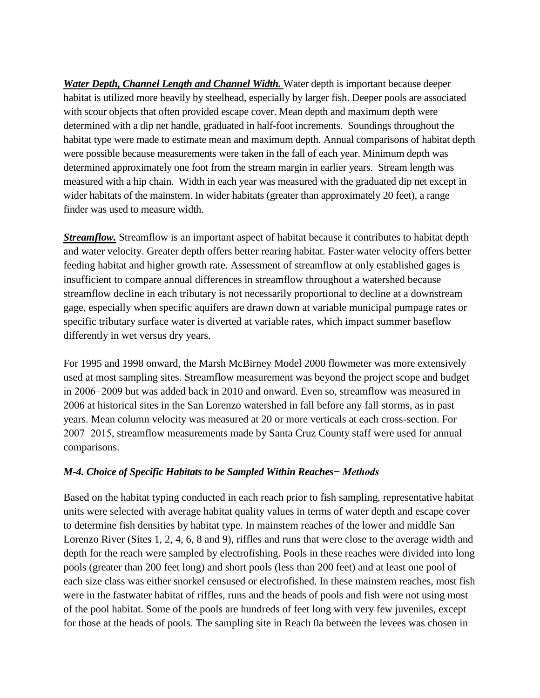*Water Depth, Channel Length and Channel Width.* Water depth is important because deeper habitat is utilized more heavily by steelhead, especially by larger fish. Deeper pools are associated with scour objects that often provided escape cover. Mean depth and maximum depth were determined with a dip net handle, graduated in half-foot increments. Soundings throughout the habitat type were made to estimate mean and maximum depth. Annual comparisons of habitat depth were possible because measurements were taken in the fall of each year. Minimum depth was determined approximately one foot from the stream margin in earlier years. Stream length was measured with a hip chain. Width in each year was measured with the graduated dip net except in wider habitats of the mainstem. In wider habitats (greater than approximately 20 feet), a range finder was used to measure width.

*Streamflow.* Streamflow is an important aspect of habitat because it contributes to habitat depth and water velocity. Greater depth offers better rearing habitat. Faster water velocity offers better feeding habitat and higher growth rate. Assessment of streamflow at only established gages is insufficient to compare annual differences in streamflow throughout a watershed because streamflow decline in each tributary is not necessarily proportional to decline at a downstream gage, especially when specific aquifers are drawn down at variable municipal pumpage rates or specific tributary surface water is diverted at variable rates, which impact summer baseflow differently in wet versus dry years.

For 1995 and 1998 onward, the Marsh McBirney Model 2000 flowmeter was more extensively used at most sampling sites. Streamflow measurement was beyond the project scope and budget in 2006−2009 but was added back in 2010 and onward. Even so, streamflow was measured in 2006 at historical sites in the San Lorenzo watershed in fall before any fall storms, as in past years. Mean column velocity was measured at 20 or more verticals at each cross-section. For 2007−2015, streamflow measurements made by Santa Cruz County staff were used for annual comparisons.

### *M-4. Choice of Specific Habitats to be Sampled Within Reaches− Methods*

Based on the habitat typing conducted in each reach prior to fish sampling, representative habitat units were selected with average habitat quality values in terms of water depth and escape cover to determine fish densities by habitat type. In mainstem reaches of the lower and middle San Lorenzo River (Sites 1, 2, 4, 6, 8 and 9), riffles and runs that were close to the average width and depth for the reach were sampled by electrofishing. Pools in these reaches were divided into long pools (greater than 200 feet long) and short pools (less than 200 feet) and at least one pool of each size class was either snorkel censused or electrofished. In these mainstem reaches, most fish were in the fastwater habitat of riffles, runs and the heads of pools and fish were not using most of the pool habitat. Some of the pools are hundreds of feet long with very few juveniles, except for those at the heads of pools. The sampling site in Reach 0a between the levees was chosen in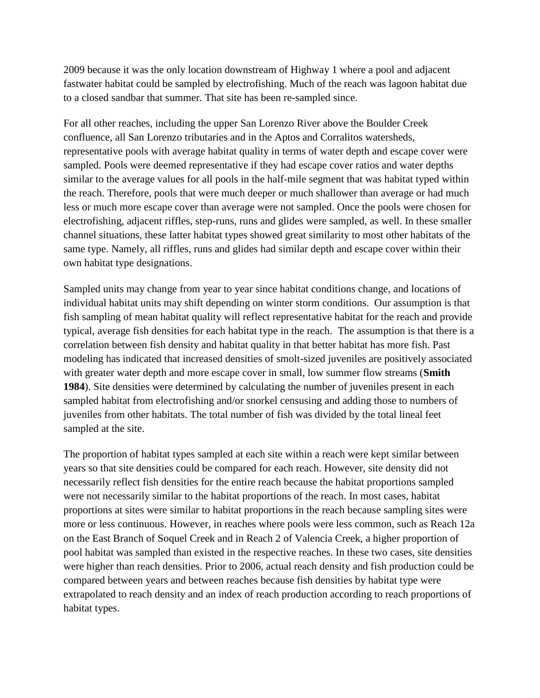2009 because it was the only location downstream of Highway 1 where a pool and adjacent fastwater habitat could be sampled by electrofishing. Much of the reach was lagoon habitat due to a closed sandbar that summer. That site has been re-sampled since.

For all other reaches, including the upper San Lorenzo River above the Boulder Creek confluence, all San Lorenzo tributaries and in the Aptos and Corralitos watersheds, representative pools with average habitat quality in terms of water depth and escape cover were sampled. Pools were deemed representative if they had escape cover ratios and water depths similar to the average values for all pools in the half-mile segment that was habitat typed within the reach. Therefore, pools that were much deeper or much shallower than average or had much less or much more escape cover than average were not sampled. Once the pools were chosen for electrofishing, adjacent riffles, step-runs, runs and glides were sampled, as well. In these smaller channel situations, these latter habitat types showed great similarity to most other habitats of the same type. Namely, all riffles, runs and glides had similar depth and escape cover within their own habitat type designations.

Sampled units may change from year to year since habitat conditions change, and locations of individual habitat units may shift depending on winter storm conditions. Our assumption is that fish sampling of mean habitat quality will reflect representative habitat for the reach and provide typical, average fish densities for each habitat type in the reach. The assumption is that there is a correlation between fish density and habitat quality in that better habitat has more fish. Past modeling has indicated that increased densities of smolt-sized juveniles are positively associated with greater water depth and more escape cover in small, low summer flow streams (**Smith 1984**). Site densities were determined by calculating the number of juveniles present in each sampled habitat from electrofishing and/or snorkel censusing and adding those to numbers of juveniles from other habitats. The total number of fish was divided by the total lineal feet sampled at the site.

The proportion of habitat types sampled at each site within a reach were kept similar between years so that site densities could be compared for each reach. However, site density did not necessarily reflect fish densities for the entire reach because the habitat proportions sampled were not necessarily similar to the habitat proportions of the reach. In most cases, habitat proportions at sites were similar to habitat proportions in the reach because sampling sites were more or less continuous. However, in reaches where pools were less common, such as Reach 12a on the East Branch of Soquel Creek and in Reach 2 of Valencia Creek, a higher proportion of pool habitat was sampled than existed in the respective reaches. In these two cases, site densities were higher than reach densities. Prior to 2006, actual reach density and fish production could be compared between years and between reaches because fish densities by habitat type were extrapolated to reach density and an index of reach production according to reach proportions of habitat types.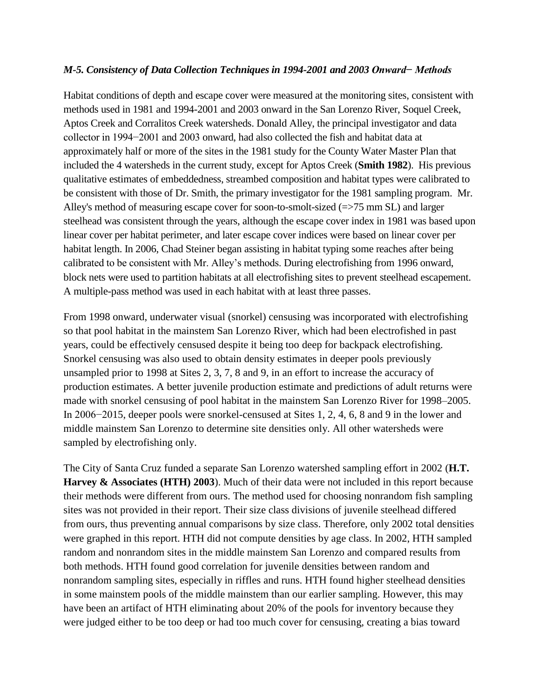### *M-5. Consistency of Data Collection Techniques in 1994-2001 and 2003 Onward− Methods*

Habitat conditions of depth and escape cover were measured at the monitoring sites, consistent with methods used in 1981 and 1994-2001 and 2003 onward in the San Lorenzo River, Soquel Creek, Aptos Creek and Corralitos Creek watersheds. Donald Alley, the principal investigator and data collector in 1994−2001 and 2003 onward, had also collected the fish and habitat data at approximately half or more of the sites in the 1981 study for the County Water Master Plan that included the 4 watersheds in the current study, except for Aptos Creek (**Smith 1982**). His previous qualitative estimates of embeddedness, streambed composition and habitat types were calibrated to be consistent with those of Dr. Smith, the primary investigator for the 1981 sampling program. Mr. Alley's method of measuring escape cover for soon-to-smolt-sized (=>75 mm SL) and larger steelhead was consistent through the years, although the escape cover index in 1981 was based upon linear cover per habitat perimeter, and later escape cover indices were based on linear cover per habitat length. In 2006, Chad Steiner began assisting in habitat typing some reaches after being calibrated to be consistent with Mr. Alley's methods. During electrofishing from 1996 onward, block nets were used to partition habitats at all electrofishing sites to prevent steelhead escapement. A multiple-pass method was used in each habitat with at least three passes.

From 1998 onward, underwater visual (snorkel) censusing was incorporated with electrofishing so that pool habitat in the mainstem San Lorenzo River, which had been electrofished in past years, could be effectively censused despite it being too deep for backpack electrofishing. Snorkel censusing was also used to obtain density estimates in deeper pools previously unsampled prior to 1998 at Sites 2, 3, 7, 8 and 9, in an effort to increase the accuracy of production estimates. A better juvenile production estimate and predictions of adult returns were made with snorkel censusing of pool habitat in the mainstem San Lorenzo River for 1998–2005. In 2006−2015, deeper pools were snorkel-censused at Sites 1, 2, 4, 6, 8 and 9 in the lower and middle mainstem San Lorenzo to determine site densities only. All other watersheds were sampled by electrofishing only.

The City of Santa Cruz funded a separate San Lorenzo watershed sampling effort in 2002 (**H.T. Harvey & Associates (HTH) 2003**). Much of their data were not included in this report because their methods were different from ours. The method used for choosing nonrandom fish sampling sites was not provided in their report. Their size class divisions of juvenile steelhead differed from ours, thus preventing annual comparisons by size class. Therefore, only 2002 total densities were graphed in this report. HTH did not compute densities by age class. In 2002, HTH sampled random and nonrandom sites in the middle mainstem San Lorenzo and compared results from both methods. HTH found good correlation for juvenile densities between random and nonrandom sampling sites, especially in riffles and runs. HTH found higher steelhead densities in some mainstem pools of the middle mainstem than our earlier sampling. However, this may have been an artifact of HTH eliminating about 20% of the pools for inventory because they were judged either to be too deep or had too much cover for censusing, creating a bias toward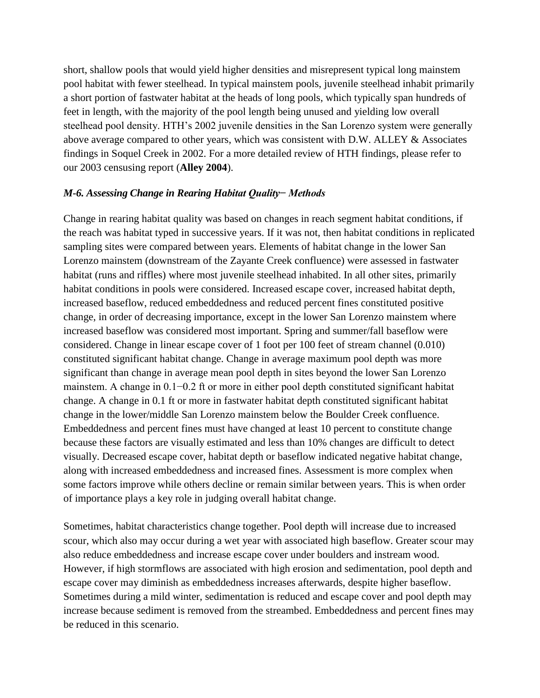short, shallow pools that would yield higher densities and misrepresent typical long mainstem pool habitat with fewer steelhead. In typical mainstem pools, juvenile steelhead inhabit primarily a short portion of fastwater habitat at the heads of long pools, which typically span hundreds of feet in length, with the majority of the pool length being unused and yielding low overall steelhead pool density. HTH's 2002 juvenile densities in the San Lorenzo system were generally above average compared to other years, which was consistent with D.W. ALLEY & Associates findings in Soquel Creek in 2002. For a more detailed review of HTH findings, please refer to our 2003 censusing report (**Alley 2004**).

### *M-6. Assessing Change in Rearing Habitat Quality− Methods*

Change in rearing habitat quality was based on changes in reach segment habitat conditions, if the reach was habitat typed in successive years. If it was not, then habitat conditions in replicated sampling sites were compared between years. Elements of habitat change in the lower San Lorenzo mainstem (downstream of the Zayante Creek confluence) were assessed in fastwater habitat (runs and riffles) where most juvenile steelhead inhabited. In all other sites, primarily habitat conditions in pools were considered. Increased escape cover, increased habitat depth, increased baseflow, reduced embeddedness and reduced percent fines constituted positive change, in order of decreasing importance, except in the lower San Lorenzo mainstem where increased baseflow was considered most important. Spring and summer/fall baseflow were considered. Change in linear escape cover of 1 foot per 100 feet of stream channel (0.010) constituted significant habitat change. Change in average maximum pool depth was more significant than change in average mean pool depth in sites beyond the lower San Lorenzo mainstem. A change in 0.1−0.2 ft or more in either pool depth constituted significant habitat change. A change in 0.1 ft or more in fastwater habitat depth constituted significant habitat change in the lower/middle San Lorenzo mainstem below the Boulder Creek confluence. Embeddedness and percent fines must have changed at least 10 percent to constitute change because these factors are visually estimated and less than 10% changes are difficult to detect visually. Decreased escape cover, habitat depth or baseflow indicated negative habitat change, along with increased embeddedness and increased fines. Assessment is more complex when some factors improve while others decline or remain similar between years. This is when order of importance plays a key role in judging overall habitat change.

Sometimes, habitat characteristics change together. Pool depth will increase due to increased scour, which also may occur during a wet year with associated high baseflow. Greater scour may also reduce embeddedness and increase escape cover under boulders and instream wood. However, if high stormflows are associated with high erosion and sedimentation, pool depth and escape cover may diminish as embeddedness increases afterwards, despite higher baseflow. Sometimes during a mild winter, sedimentation is reduced and escape cover and pool depth may increase because sediment is removed from the streambed. Embeddedness and percent fines may be reduced in this scenario.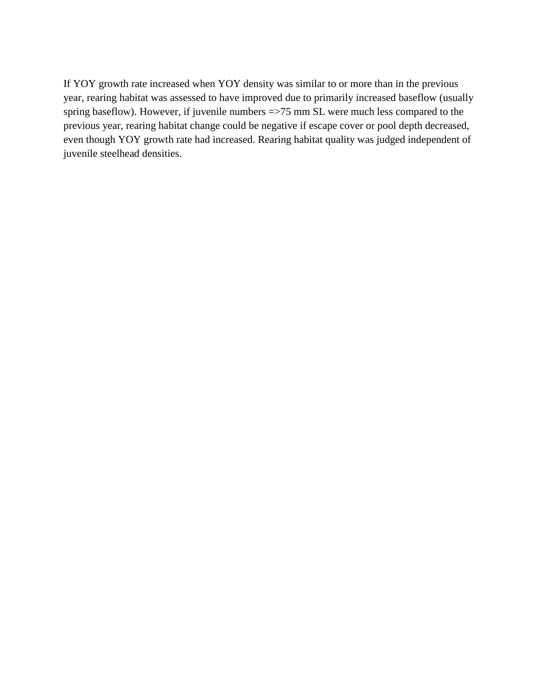If YOY growth rate increased when YOY density was similar to or more than in the previous year, rearing habitat was assessed to have improved due to primarily increased baseflow (usually spring baseflow). However, if juvenile numbers =>75 mm SL were much less compared to the previous year, rearing habitat change could be negative if escape cover or pool depth decreased, even though YOY growth rate had increased. Rearing habitat quality was judged independent of juvenile steelhead densities.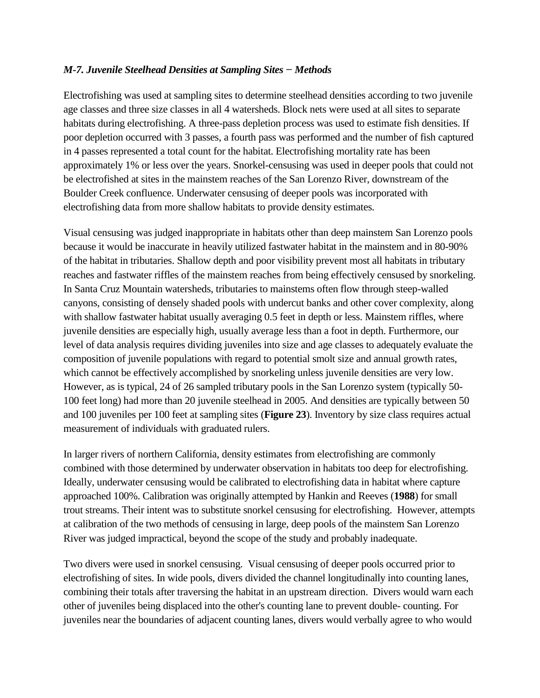## *M-7. Juvenile Steelhead Densities at Sampling Sites − Methods*

Electrofishing was used at sampling sites to determine steelhead densities according to two juvenile age classes and three size classes in all 4 watersheds. Block nets were used at all sites to separate habitats during electrofishing. A three-pass depletion process was used to estimate fish densities. If poor depletion occurred with 3 passes, a fourth pass was performed and the number of fish captured in 4 passes represented a total count for the habitat. Electrofishing mortality rate has been approximately 1% or less over the years. Snorkel-censusing was used in deeper pools that could not be electrofished at sites in the mainstem reaches of the San Lorenzo River, downstream of the Boulder Creek confluence. Underwater censusing of deeper pools was incorporated with electrofishing data from more shallow habitats to provide density estimates.

Visual censusing was judged inappropriate in habitats other than deep mainstem San Lorenzo pools because it would be inaccurate in heavily utilized fastwater habitat in the mainstem and in 80-90% of the habitat in tributaries. Shallow depth and poor visibility prevent most all habitats in tributary reaches and fastwater riffles of the mainstem reaches from being effectively censused by snorkeling. In Santa Cruz Mountain watersheds, tributaries to mainstems often flow through steep-walled canyons, consisting of densely shaded pools with undercut banks and other cover complexity, along with shallow fastwater habitat usually averaging 0.5 feet in depth or less. Mainstem riffles, where juvenile densities are especially high, usually average less than a foot in depth. Furthermore, our level of data analysis requires dividing juveniles into size and age classes to adequately evaluate the composition of juvenile populations with regard to potential smolt size and annual growth rates, which cannot be effectively accomplished by snorkeling unless juvenile densities are very low. However, as is typical, 24 of 26 sampled tributary pools in the San Lorenzo system (typically 50- 100 feet long) had more than 20 juvenile steelhead in 2005. And densities are typically between 50 and 100 juveniles per 100 feet at sampling sites (**Figure 23**). Inventory by size class requires actual measurement of individuals with graduated rulers.

In larger rivers of northern California, density estimates from electrofishing are commonly combined with those determined by underwater observation in habitats too deep for electrofishing. Ideally, underwater censusing would be calibrated to electrofishing data in habitat where capture approached 100%. Calibration was originally attempted by Hankin and Reeves (**1988**) for small trout streams. Their intent was to substitute snorkel censusing for electrofishing. However, attempts at calibration of the two methods of censusing in large, deep pools of the mainstem San Lorenzo River was judged impractical, beyond the scope of the study and probably inadequate.

Two divers were used in snorkel censusing. Visual censusing of deeper pools occurred prior to electrofishing of sites. In wide pools, divers divided the channel longitudinally into counting lanes, combining their totals after traversing the habitat in an upstream direction. Divers would warn each other of juveniles being displaced into the other's counting lane to prevent double- counting. For juveniles near the boundaries of adjacent counting lanes, divers would verbally agree to who would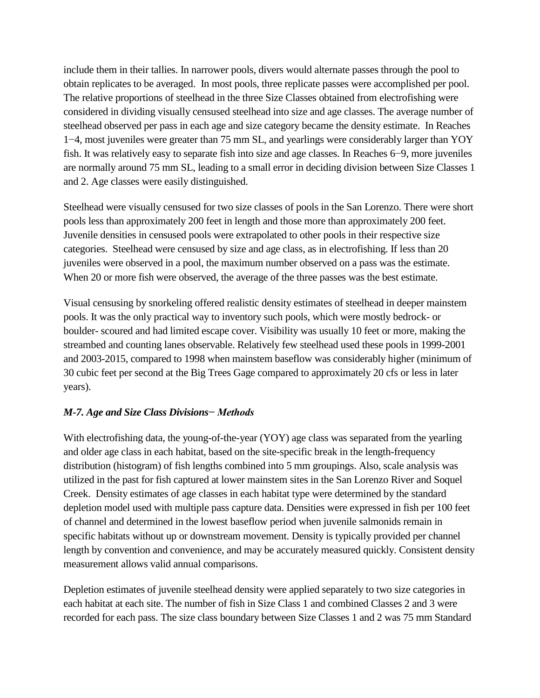include them in their tallies. In narrower pools, divers would alternate passes through the pool to obtain replicates to be averaged. In most pools, three replicate passes were accomplished per pool. The relative proportions of steelhead in the three Size Classes obtained from electrofishing were considered in dividing visually censused steelhead into size and age classes. The average number of steelhead observed per pass in each age and size category became the density estimate. In Reaches 1−4, most juveniles were greater than 75 mm SL, and yearlings were considerably larger than YOY fish. It was relatively easy to separate fish into size and age classes. In Reaches 6−9, more juveniles are normally around 75 mm SL, leading to a small error in deciding division between Size Classes 1 and 2. Age classes were easily distinguished.

Steelhead were visually censused for two size classes of pools in the San Lorenzo. There were short pools less than approximately 200 feet in length and those more than approximately 200 feet. Juvenile densities in censused pools were extrapolated to other pools in their respective size categories. Steelhead were censused by size and age class, as in electrofishing. If less than 20 juveniles were observed in a pool, the maximum number observed on a pass was the estimate. When 20 or more fish were observed, the average of the three passes was the best estimate.

Visual censusing by snorkeling offered realistic density estimates of steelhead in deeper mainstem pools. It was the only practical way to inventory such pools, which were mostly bedrock- or boulder- scoured and had limited escape cover. Visibility was usually 10 feet or more, making the streambed and counting lanes observable. Relatively few steelhead used these pools in 1999-2001 and 2003-2015, compared to 1998 when mainstem baseflow was considerably higher (minimum of 30 cubic feet per second at the Big Trees Gage compared to approximately 20 cfs or less in later years).

# *M-7. Age and Size Class Divisions− Methods*

With electrofishing data, the young-of-the-year (YOY) age class was separated from the yearling and older age class in each habitat, based on the site-specific break in the length-frequency distribution (histogram) of fish lengths combined into 5 mm groupings. Also, scale analysis was utilized in the past for fish captured at lower mainstem sites in the San Lorenzo River and Soquel Creek. Density estimates of age classes in each habitat type were determined by the standard depletion model used with multiple pass capture data. Densities were expressed in fish per 100 feet of channel and determined in the lowest baseflow period when juvenile salmonids remain in specific habitats without up or downstream movement. Density is typically provided per channel length by convention and convenience, and may be accurately measured quickly. Consistent density measurement allows valid annual comparisons.

Depletion estimates of juvenile steelhead density were applied separately to two size categories in each habitat at each site. The number of fish in Size Class 1 and combined Classes 2 and 3 were recorded for each pass. The size class boundary between Size Classes 1 and 2 was 75 mm Standard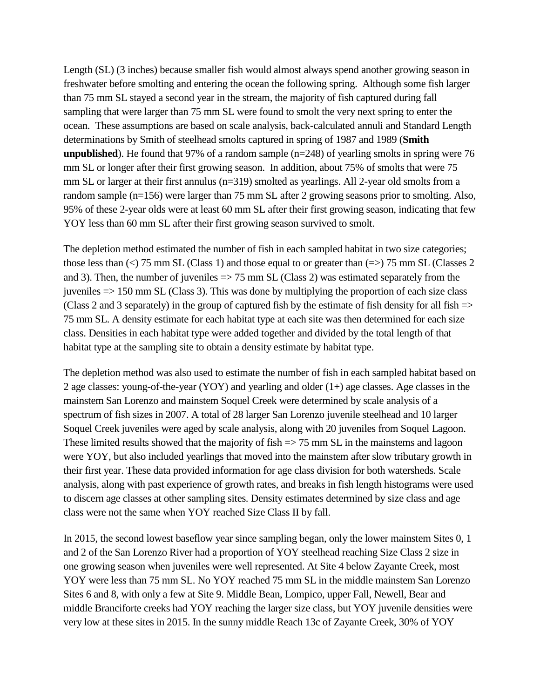Length (SL) (3 inches) because smaller fish would almost always spend another growing season in freshwater before smolting and entering the ocean the following spring. Although some fish larger than 75 mm SL stayed a second year in the stream, the majority of fish captured during fall sampling that were larger than 75 mm SL were found to smolt the very next spring to enter the ocean. These assumptions are based on scale analysis, back-calculated annuli and Standard Length determinations by Smith of steelhead smolts captured in spring of 1987 and 1989 (**Smith unpublished**). He found that 97% of a random sample (n=248) of yearling smolts in spring were 76 mm SL or longer after their first growing season. In addition, about 75% of smolts that were 75 mm SL or larger at their first annulus (n=319) smolted as yearlings. All 2-year old smolts from a random sample (n=156) were larger than 75 mm SL after 2 growing seasons prior to smolting. Also, 95% of these 2-year olds were at least 60 mm SL after their first growing season, indicating that few YOY less than 60 mm SL after their first growing season survived to smolt.

The depletion method estimated the number of fish in each sampled habitat in two size categories; those less than  $\langle \rangle$  75 mm SL (Class 1) and those equal to or greater than  $\langle \rangle$  75 mm SL (Classes 2) and 3). Then, the number of juveniles => 75 mm SL (Class 2) was estimated separately from the juveniles => 150 mm SL (Class 3). This was done by multiplying the proportion of each size class (Class 2 and 3 separately) in the group of captured fish by the estimate of fish density for all fish  $\Rightarrow$ 75 mm SL. A density estimate for each habitat type at each site was then determined for each size class. Densities in each habitat type were added together and divided by the total length of that habitat type at the sampling site to obtain a density estimate by habitat type.

The depletion method was also used to estimate the number of fish in each sampled habitat based on 2 age classes: young-of-the-year (YOY) and yearling and older (1+) age classes. Age classes in the mainstem San Lorenzo and mainstem Soquel Creek were determined by scale analysis of a spectrum of fish sizes in 2007. A total of 28 larger San Lorenzo juvenile steelhead and 10 larger Soquel Creek juveniles were aged by scale analysis, along with 20 juveniles from Soquel Lagoon. These limited results showed that the majority of fish  $\Rightarrow$  75 mm SL in the mainstems and lagoon were YOY, but also included yearlings that moved into the mainstem after slow tributary growth in their first year. These data provided information for age class division for both watersheds. Scale analysis, along with past experience of growth rates, and breaks in fish length histograms were used to discern age classes at other sampling sites. Density estimates determined by size class and age class were not the same when YOY reached Size Class II by fall.

In 2015, the second lowest baseflow year since sampling began, only the lower mainstem Sites 0, 1 and 2 of the San Lorenzo River had a proportion of YOY steelhead reaching Size Class 2 size in one growing season when juveniles were well represented. At Site 4 below Zayante Creek, most YOY were less than 75 mm SL. No YOY reached 75 mm SL in the middle mainstem San Lorenzo Sites 6 and 8, with only a few at Site 9. Middle Bean, Lompico, upper Fall, Newell, Bear and middle Branciforte creeks had YOY reaching the larger size class, but YOY juvenile densities were very low at these sites in 2015. In the sunny middle Reach 13c of Zayante Creek, 30% of YOY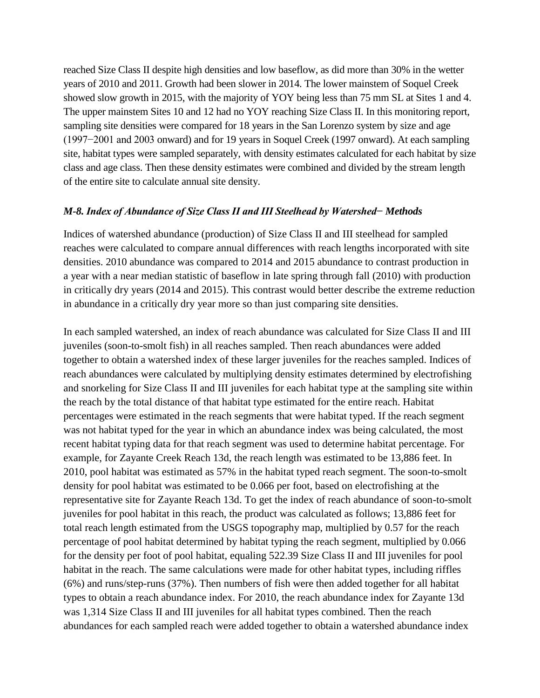reached Size Class II despite high densities and low baseflow, as did more than 30% in the wetter years of 2010 and 2011. Growth had been slower in 2014. The lower mainstem of Soquel Creek showed slow growth in 2015, with the majority of YOY being less than 75 mm SL at Sites 1 and 4. The upper mainstem Sites 10 and 12 had no YOY reaching Size Class II. In this monitoring report, sampling site densities were compared for 18 years in the San Lorenzo system by size and age (1997−2001 and 2003 onward) and for 19 years in Soquel Creek (1997 onward). At each sampling site, habitat types were sampled separately, with density estimates calculated for each habitat by size class and age class. Then these density estimates were combined and divided by the stream length of the entire site to calculate annual site density.

#### *M-8. Index of Abundance of Size Class II and III Steelhead by Watershed− Methods*

Indices of watershed abundance (production) of Size Class II and III steelhead for sampled reaches were calculated to compare annual differences with reach lengths incorporated with site densities. 2010 abundance was compared to 2014 and 2015 abundance to contrast production in a year with a near median statistic of baseflow in late spring through fall (2010) with production in critically dry years (2014 and 2015). This contrast would better describe the extreme reduction in abundance in a critically dry year more so than just comparing site densities.

In each sampled watershed, an index of reach abundance was calculated for Size Class II and III juveniles (soon-to-smolt fish) in all reaches sampled. Then reach abundances were added together to obtain a watershed index of these larger juveniles for the reaches sampled. Indices of reach abundances were calculated by multiplying density estimates determined by electrofishing and snorkeling for Size Class II and III juveniles for each habitat type at the sampling site within the reach by the total distance of that habitat type estimated for the entire reach. Habitat percentages were estimated in the reach segments that were habitat typed. If the reach segment was not habitat typed for the year in which an abundance index was being calculated, the most recent habitat typing data for that reach segment was used to determine habitat percentage. For example, for Zayante Creek Reach 13d, the reach length was estimated to be 13,886 feet. In 2010, pool habitat was estimated as 57% in the habitat typed reach segment. The soon-to-smolt density for pool habitat was estimated to be 0.066 per foot, based on electrofishing at the representative site for Zayante Reach 13d. To get the index of reach abundance of soon-to-smolt juveniles for pool habitat in this reach, the product was calculated as follows; 13,886 feet for total reach length estimated from the USGS topography map, multiplied by 0.57 for the reach percentage of pool habitat determined by habitat typing the reach segment, multiplied by 0.066 for the density per foot of pool habitat, equaling 522.39 Size Class II and III juveniles for pool habitat in the reach. The same calculations were made for other habitat types, including riffles (6%) and runs/step-runs (37%). Then numbers of fish were then added together for all habitat types to obtain a reach abundance index. For 2010, the reach abundance index for Zayante 13d was 1,314 Size Class II and III juveniles for all habitat types combined. Then the reach abundances for each sampled reach were added together to obtain a watershed abundance index